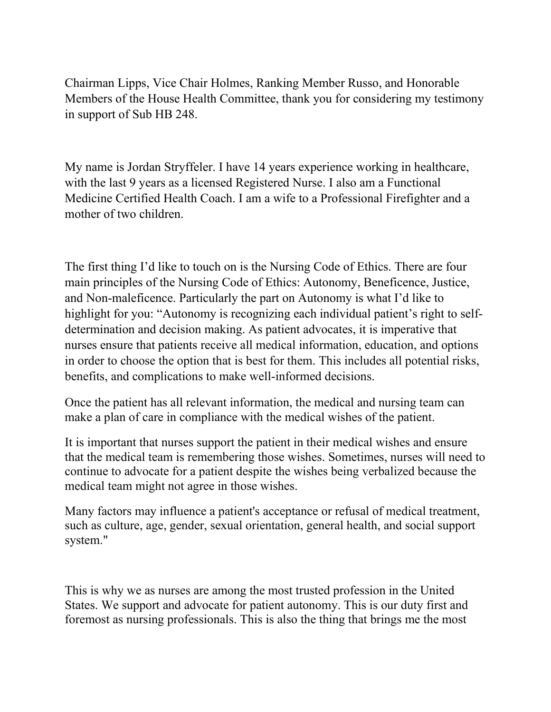Chairman Lipps, Vice Chair Holmes, Ranking Member Russo, and Honorable Members of the House Health Committee, thank you for considering my testimony in support of Sub HB 248.

My name is Jordan Stryffeler. I have 14 years experience working in healthcare, with the last 9 years as a licensed Registered Nurse. I also am a Functional Medicine Certified Health Coach. I am a wife to a Professional Firefighter and a mother of two children.

The first thing I'd like to touch on is the Nursing Code of Ethics. There are four main principles of the Nursing Code of Ethics: Autonomy, Beneficence, Justice, and Non-maleficence. Particularly the part on Autonomy is what I'd like to highlight for you: "Autonomy is recognizing each individual patient's right to selfdetermination and decision making. As patient advocates, it is imperative that nurses ensure that patients receive all medical information, education, and options in order to choose the option that is best for them. This includes all potential risks, benefits, and complications to make well-informed decisions.

Once the patient has all relevant information, the medical and nursing team can make a plan of care in compliance with the medical wishes of the patient.

It is important that nurses support the patient in their medical wishes and ensure that the medical team is remembering those wishes. Sometimes, nurses will need to continue to advocate for a patient despite the wishes being verbalized because the medical team might not agree in those wishes.

Many factors may influence a patient's acceptance or refusal of medical treatment, such as culture, age, gender, sexual orientation, general health, and social support system."

This is why we as nurses are among the most trusted profession in the United States. We support and advocate for patient autonomy. This is our duty first and foremost as nursing professionals. This is also the thing that brings me the most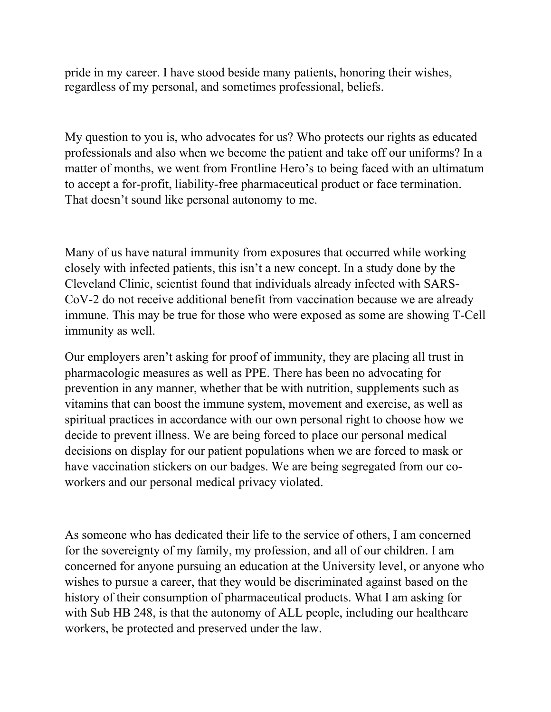pride in my career. I have stood beside many patients, honoring their wishes, regardless of my personal, and sometimes professional, beliefs.

My question to you is, who advocates for us? Who protects our rights as educated professionals and also when we become the patient and take off our uniforms? In a matter of months, we went from Frontline Hero's to being faced with an ultimatum to accept a for-profit, liability-free pharmaceutical product or face termination. That doesn't sound like personal autonomy to me.

Many of us have natural immunity from exposures that occurred while working closely with infected patients, this isn't a new concept. In a study done by the Cleveland Clinic, scientist found that individuals already infected with SARS-CoV-2 do not receive additional benefit from vaccination because we are already immune. This may be true for those who were exposed as some are showing T-Cell immunity as well.

Our employers aren't asking for proof of immunity, they are placing all trust in pharmacologic measures as well as PPE. There has been no advocating for prevention in any manner, whether that be with nutrition, supplements such as vitamins that can boost the immune system, movement and exercise, as well as spiritual practices in accordance with our own personal right to choose how we decide to prevent illness. We are being forced to place our personal medical decisions on display for our patient populations when we are forced to mask or have vaccination stickers on our badges. We are being segregated from our coworkers and our personal medical privacy violated.

As someone who has dedicated their life to the service of others, I am concerned for the sovereignty of my family, my profession, and all of our children. I am concerned for anyone pursuing an education at the University level, or anyone who wishes to pursue a career, that they would be discriminated against based on the history of their consumption of pharmaceutical products. What I am asking for with Sub HB 248, is that the autonomy of ALL people, including our healthcare workers, be protected and preserved under the law.